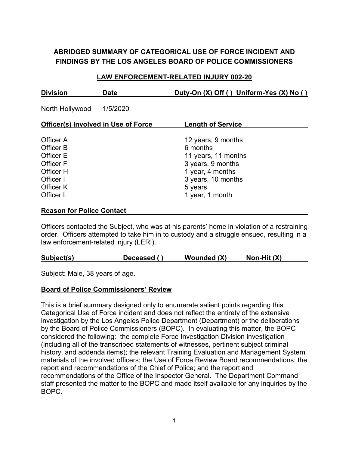# **ABRIDGED SUMMARY OF CATEGORICAL USE OF FORCE INCIDENT AND FINDINGS BY THE LOS ANGELES BOARD OF POLICE COMMISSIONERS**

#### **LAW ENFORCEMENT-RELATED INJURY 002-20**

| <b>Division</b>                                                                                      | <b>Date</b> | Duty-On (X) Off () Uniform-Yes (X) No ()                                                                                                           |  |  |  |  |
|------------------------------------------------------------------------------------------------------|-------------|----------------------------------------------------------------------------------------------------------------------------------------------------|--|--|--|--|
| North Hollywood                                                                                      | 1/5/2020    |                                                                                                                                                    |  |  |  |  |
| <b>Officer(s) Involved in Use of Force</b>                                                           |             | <b>Length of Service</b>                                                                                                                           |  |  |  |  |
| Officer A<br>Officer B<br>Officer E<br>Officer F<br>Officer H<br>Officer I<br>Officer K<br>Officer L |             | 12 years, 9 months<br>6 months<br>11 years, 11 months<br>3 years, 9 months<br>1 year, 4 months<br>3 years, 10 months<br>5 years<br>1 year, 1 month |  |  |  |  |

#### **Reason for Police Contact**

Officers contacted the Subject, who was at his parents' home in violation of a restraining order. Officers attempted to take him in to custody and a struggle ensued, resulting in a law enforcement-related injury (LERI).

| Subject(s) | Deceased () | Wounded (X) | Non-Hit $(X)$ |
|------------|-------------|-------------|---------------|
|            |             |             |               |

Subject: Male, 38 years of age.

### **Board of Police Commissioners' Review**

This is a brief summary designed only to enumerate salient points regarding this Categorical Use of Force incident and does not reflect the entirety of the extensive investigation by the Los Angeles Police Department (Department) or the deliberations by the Board of Police Commissioners (BOPC). In evaluating this matter, the BOPC considered the following: the complete Force Investigation Division investigation (including all of the transcribed statements of witnesses, pertinent subject criminal history, and addenda items); the relevant Training Evaluation and Management System materials of the involved officers; the Use of Force Review Board recommendations; the report and recommendations of the Chief of Police; and the report and recommendations of the Office of the Inspector General. The Department Command staff presented the matter to the BOPC and made itself available for any inquiries by the BOPC.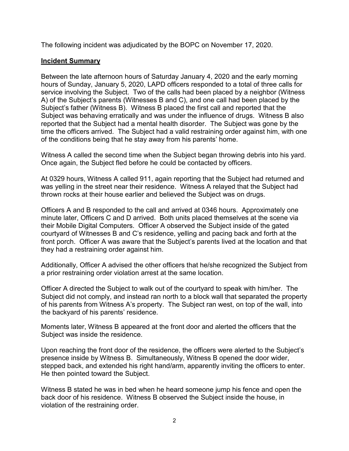The following incident was adjudicated by the BOPC on November 17, 2020.

### **Incident Summary**

Between the late afternoon hours of Saturday January 4, 2020 and the early morning hours of Sunday, January 5, 2020, LAPD officers responded to a total of three calls for service involving the Subject. Two of the calls had been placed by a neighbor (Witness A) of the Subject's parents (Witnesses B and C), and one call had been placed by the Subject's father (Witness B). Witness B placed the first call and reported that the Subject was behaving erratically and was under the influence of drugs. Witness B also reported that the Subject had a mental health disorder. The Subject was gone by the time the officers arrived. The Subject had a valid restraining order against him, with one of the conditions being that he stay away from his parents' home.

Witness A called the second time when the Subject began throwing debris into his yard. Once again, the Subject fled before he could be contacted by officers.

At 0329 hours, Witness A called 911, again reporting that the Subject had returned and was yelling in the street near their residence. Witness A relayed that the Subject had thrown rocks at their house earlier and believed the Subject was on drugs.

Officers A and B responded to the call and arrived at 0346 hours. Approximately one minute later, Officers C and D arrived. Both units placed themselves at the scene via their Mobile Digital Computers. Officer A observed the Subject inside of the gated courtyard of Witnesses B and C's residence, yelling and pacing back and forth at the front porch. Officer A was aware that the Subject's parents lived at the location and that they had a restraining order against him.

Additionally, Officer A advised the other officers that he/she recognized the Subject from a prior restraining order violation arrest at the same location.

Officer A directed the Subject to walk out of the courtyard to speak with him/her. The Subject did not comply, and instead ran north to a block wall that separated the property of his parents from Witness A's property. The Subject ran west, on top of the wall, into the backyard of his parents' residence.

Moments later, Witness B appeared at the front door and alerted the officers that the Subject was inside the residence.

Upon reaching the front door of the residence, the officers were alerted to the Subject's presence inside by Witness B. Simultaneously, Witness B opened the door wider, stepped back, and extended his right hand/arm, apparently inviting the officers to enter. He then pointed toward the Subject.

Witness B stated he was in bed when he heard someone jump his fence and open the back door of his residence. Witness B observed the Subject inside the house, in violation of the restraining order.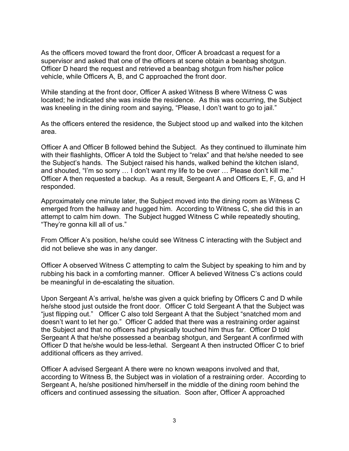As the officers moved toward the front door, Officer A broadcast a request for a supervisor and asked that one of the officers at scene obtain a beanbag shotgun. Officer D heard the request and retrieved a beanbag shotgun from his/her police vehicle, while Officers A, B, and C approached the front door.

While standing at the front door, Officer A asked Witness B where Witness C was located; he indicated she was inside the residence. As this was occurring, the Subject was kneeling in the dining room and saying, "Please, I don't want to go to jail."

As the officers entered the residence, the Subject stood up and walked into the kitchen area.

Officer A and Officer B followed behind the Subject. As they continued to illuminate him with their flashlights, Officer A told the Subject to "relax" and that he/she needed to see the Subject's hands. The Subject raised his hands, walked behind the kitchen island, and shouted, "I'm so sorry … I don't want my life to be over … Please don't kill me." Officer A then requested a backup. As a result, Sergeant A and Officers E, F, G, and H responded.

Approximately one minute later, the Subject moved into the dining room as Witness C emerged from the hallway and hugged him. According to Witness C, she did this in an attempt to calm him down. The Subject hugged Witness C while repeatedly shouting, "They're gonna kill all of us."

From Officer A's position, he/she could see Witness C interacting with the Subject and did not believe she was in any danger.

Officer A observed Witness C attempting to calm the Subject by speaking to him and by rubbing his back in a comforting manner. Officer A believed Witness C's actions could be meaningful in de-escalating the situation.

Upon Sergeant A's arrival, he/she was given a quick briefing by Officers C and D while he/she stood just outside the front door. Officer C told Sergeant A that the Subject was "just flipping out." Officer C also told Sergeant A that the Subject "snatched mom and doesn't want to let her go." Officer C added that there was a restraining order against the Subject and that no officers had physically touched him thus far. Officer D told Sergeant A that he/she possessed a beanbag shotgun, and Sergeant A confirmed with Officer D that he/she would be less-lethal. Sergeant A then instructed Officer C to brief additional officers as they arrived.

Officer A advised Sergeant A there were no known weapons involved and that, according to Witness B, the Subject was in violation of a restraining order. According to Sergeant A, he/she positioned him/herself in the middle of the dining room behind the officers and continued assessing the situation. Soon after, Officer A approached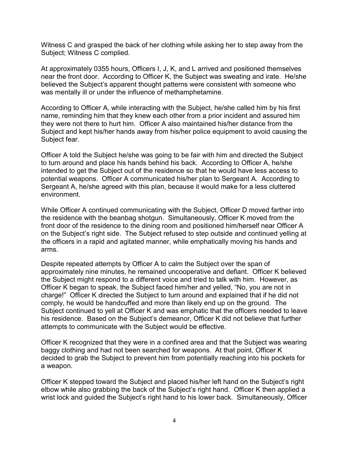Witness C and grasped the back of her clothing while asking her to step away from the Subject; Witness C complied.

At approximately 0355 hours, Officers I, J, K, and L arrived and positioned themselves near the front door. According to Officer K, the Subject was sweating and irate. He/she believed the Subject's apparent thought patterns were consistent with someone who was mentally ill or under the influence of methamphetamine.

According to Officer A, while interacting with the Subject, he/she called him by his first name, reminding him that they knew each other from a prior incident and assured him they were not there to hurt him. Officer A also maintained his/her distance from the Subject and kept his/her hands away from his/her police equipment to avoid causing the Subject fear.

Officer A told the Subject he/she was going to be fair with him and directed the Subject to turn around and place his hands behind his back. According to Officer A, he/she intended to get the Subject out of the residence so that he would have less access to potential weapons. Officer A communicated his/her plan to Sergeant A. According to Sergeant A, he/she agreed with this plan, because it would make for a less cluttered environment.

While Officer A continued communicating with the Subject, Officer D moved farther into the residence with the beanbag shotgun. Simultaneously, Officer K moved from the front door of the residence to the dining room and positioned him/herself near Officer A on the Subject's right side. The Subject refused to step outside and continued yelling at the officers in a rapid and agitated manner, while emphatically moving his hands and arms.

Despite repeated attempts by Officer A to calm the Subject over the span of approximately nine minutes, he remained uncooperative and defiant. Officer K believed the Subject might respond to a different voice and tried to talk with him. However, as Officer K began to speak, the Subject faced him/her and yelled, "No, you are not in charge!" Officer K directed the Subject to turn around and explained that if he did not comply, he would be handcuffed and more than likely end up on the ground. The Subject continued to yell at Officer K and was emphatic that the officers needed to leave his residence. Based on the Subject's demeanor, Officer K did not believe that further attempts to communicate with the Subject would be effective.

Officer K recognized that they were in a confined area and that the Subject was wearing baggy clothing and had not been searched for weapons. At that point, Officer K decided to grab the Subject to prevent him from potentially reaching into his pockets for a weapon.

Officer K stepped toward the Subject and placed his/her left hand on the Subject's right elbow while also grabbing the back of the Subject's right hand. Officer K then applied a wrist lock and guided the Subject's right hand to his lower back. Simultaneously, Officer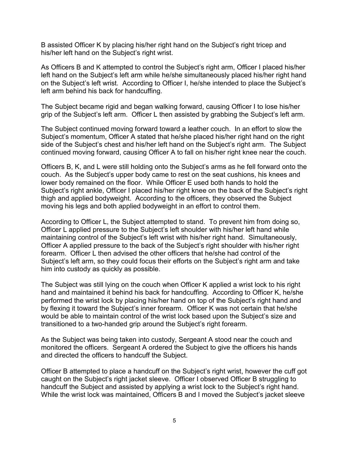B assisted Officer K by placing his/her right hand on the Subject's right tricep and his/her left hand on the Subject's right wrist.

As Officers B and K attempted to control the Subject's right arm, Officer I placed his/her left hand on the Subject's left arm while he/she simultaneously placed his/her right hand on the Subject's left wrist. According to Officer I, he/she intended to place the Subject's left arm behind his back for handcuffing.

The Subject became rigid and began walking forward, causing Officer I to lose his/her grip of the Subject's left arm. Officer L then assisted by grabbing the Subject's left arm.

The Subject continued moving forward toward a leather couch. In an effort to slow the Subject's momentum, Officer A stated that he/she placed his/her right hand on the right side of the Subject's chest and his/her left hand on the Subject's right arm. The Subject continued moving forward, causing Officer A to fall on his/her right knee near the couch.

Officers B, K, and L were still holding onto the Subject's arms as he fell forward onto the couch. As the Subject's upper body came to rest on the seat cushions, his knees and lower body remained on the floor. While Officer E used both hands to hold the Subject's right ankle, Officer I placed his/her right knee on the back of the Subject's right thigh and applied bodyweight. According to the officers, they observed the Subject moving his legs and both applied bodyweight in an effort to control them.

According to Officer L, the Subject attempted to stand. To prevent him from doing so, Officer L applied pressure to the Subject's left shoulder with his/her left hand while maintaining control of the Subject's left wrist with his/her right hand. Simultaneously, Officer A applied pressure to the back of the Subject's right shoulder with his/her right forearm. Officer L then advised the other officers that he/she had control of the Subject's left arm, so they could focus their efforts on the Subject's right arm and take him into custody as quickly as possible.

The Subject was still lying on the couch when Officer K applied a wrist lock to his right hand and maintained it behind his back for handcuffing. According to Officer K, he/she performed the wrist lock by placing his/her hand on top of the Subject's right hand and by flexing it toward the Subject's inner forearm. Officer K was not certain that he/she would be able to maintain control of the wrist lock based upon the Subject's size and transitioned to a two-handed grip around the Subject's right forearm.

As the Subject was being taken into custody, Sergeant A stood near the couch and monitored the officers. Sergeant A ordered the Subject to give the officers his hands and directed the officers to handcuff the Subject.

Officer B attempted to place a handcuff on the Subject's right wrist, however the cuff got caught on the Subject's right jacket sleeve. Officer I observed Officer B struggling to handcuff the Subject and assisted by applying a wrist lock to the Subject's right hand. While the wrist lock was maintained, Officers B and I moved the Subject's jacket sleeve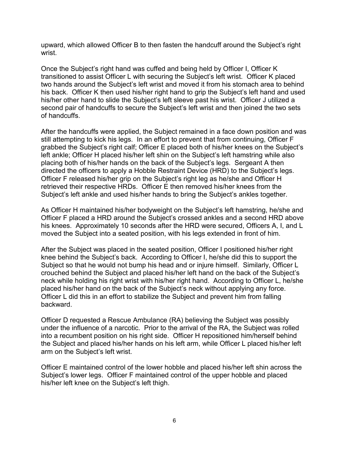upward, which allowed Officer B to then fasten the handcuff around the Subject's right wrist.

Once the Subject's right hand was cuffed and being held by Officer I, Officer K transitioned to assist Officer L with securing the Subject's left wrist. Officer K placed two hands around the Subject's left wrist and moved it from his stomach area to behind his back. Officer K then used his/her right hand to grip the Subject's left hand and used his/her other hand to slide the Subject's left sleeve past his wrist. Officer J utilized a second pair of handcuffs to secure the Subject's left wrist and then joined the two sets of handcuffs.

After the handcuffs were applied, the Subject remained in a face down position and was still attempting to kick his legs. In an effort to prevent that from continuing, Officer F grabbed the Subject's right calf; Officer E placed both of his/her knees on the Subject's left ankle; Officer H placed his/her left shin on the Subject's left hamstring while also placing both of his/her hands on the back of the Subject's legs. Sergeant A then directed the officers to apply a Hobble Restraint Device (HRD) to the Subject's legs. Officer F released his/her grip on the Subject's right leg as he/she and Officer H retrieved their respective HRDs. Officer E then removed his/her knees from the Subject's left ankle and used his/her hands to bring the Subject's ankles together.

As Officer H maintained his/her bodyweight on the Subject's left hamstring, he/she and Officer F placed a HRD around the Subject's crossed ankles and a second HRD above his knees. Approximately 10 seconds after the HRD were secured, Officers A, I, and L moved the Subject into a seated position, with his legs extended in front of him.

After the Subject was placed in the seated position, Officer I positioned his/her right knee behind the Subject's back. According to Officer I, he/she did this to support the Subject so that he would not bump his head and or injure himself. Similarly, Officer L crouched behind the Subject and placed his/her left hand on the back of the Subject's neck while holding his right wrist with his/her right hand. According to Officer L, he/she placed his/her hand on the back of the Subject's neck without applying any force. Officer L did this in an effort to stabilize the Subject and prevent him from falling backward.

Officer D requested a Rescue Ambulance (RA) believing the Subject was possibly under the influence of a narcotic. Prior to the arrival of the RA, the Subject was rolled into a recumbent position on his right side. Officer H repositioned him/herself behind the Subject and placed his/her hands on his left arm, while Officer L placed his/her left arm on the Subject's left wrist.

Officer E maintained control of the lower hobble and placed his/her left shin across the Subject's lower legs. Officer F maintained control of the upper hobble and placed his/her left knee on the Subject's left thigh.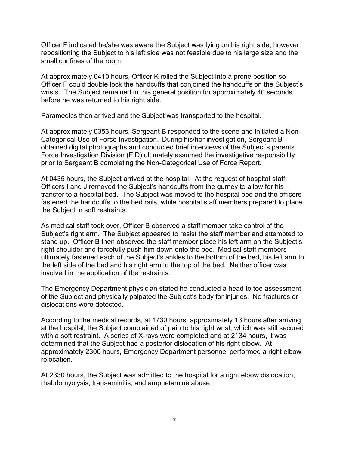Officer F indicated he/she was aware the Subject was lying on his right side, however repositioning the Subject to his left side was not feasible due to his large size and the small confines of the room.

At approximately 0410 hours, Officer K rolled the Subject into a prone position so Officer F could double lock the handcuffs that conjoined the handcuffs on the Subject's wrists. The Subject remained in this general position for approximately 40 seconds before he was returned to his right side.

Paramedics then arrived and the Subject was transported to the hospital.

At approximately 0353 hours, Sergeant B responded to the scene and initiated a Non-Categorical Use of Force Investigation. During his/her investigation, Sergeant B obtained digital photographs and conducted brief interviews of the Subject's parents. Force Investigation Division (FID) ultimately assumed the investigative responsibility prior to Sergeant B completing the Non-Categorical Use of Force Report.

At 0435 hours, the Subject arrived at the hospital. At the request of hospital staff, Officers I and J removed the Subject's handcuffs from the gurney to allow for his transfer to a hospital bed. The Subject was moved to the hospital bed and the officers fastened the handcuffs to the bed rails, while hospital staff members prepared to place the Subject in soft restraints.

As medical staff took over, Officer B observed a staff member take control of the Subject's right arm. The Subject appeared to resist the staff member and attempted to stand up. Officer B then observed the staff member place his left arm on the Subject's right shoulder and forcefully push him down onto the bed. Medical staff members ultimately fastened each of the Subject's ankles to the bottom of the bed, his left arm to the left side of the bed and his right arm to the top of the bed. Neither officer was involved in the application of the restraints.

The Emergency Department physician stated he conducted a head to toe assessment of the Subject and physically palpated the Subject's body for injuries. No fractures or dislocations were detected.

According to the medical records, at 1730 hours, approximately 13 hours after arriving at the hospital, the Subject complained of pain to his right wrist, which was still secured with a soft restraint. A series of X-rays were completed and at 2134 hours, it was determined that the Subject had a posterior dislocation of his right elbow. At approximately 2300 hours, Emergency Department personnel performed a right elbow relocation.

At 2330 hours, the Subject was admitted to the hospital for a right elbow dislocation, rhabdomyolysis, transaminitis, and amphetamine abuse.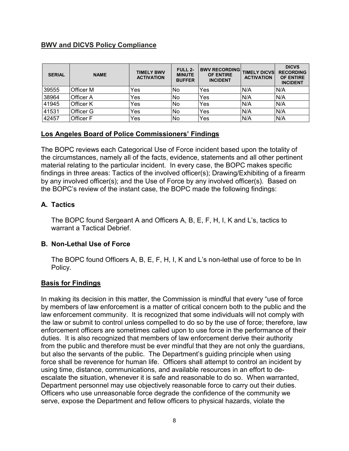### **BWV and DICVS Policy Compliance**

| <b>SERIAL</b> | <b>NAME</b> | <b>TIMELY BWV</b><br><b>ACTIVATION</b> | FULL 2-<br><b>MINUTE</b><br><b>BUFFER</b> | <b>BWV RECORDING</b><br><b>OF ENTIRE</b><br><b>INCIDENT</b> | <b>TIMELY DICVS</b><br><b>ACTIVATION</b> | <b>DICVS</b><br><b>RECORDING</b><br><b>OF ENTIRE</b><br><b>INCIDENT</b> |
|---------------|-------------|----------------------------------------|-------------------------------------------|-------------------------------------------------------------|------------------------------------------|-------------------------------------------------------------------------|
| 39555         | Officer M   | Yes                                    | No                                        | Yes                                                         | N/A                                      | N/A                                                                     |
| 38964         | Officer A   | Yes                                    | No                                        | Yes                                                         | N/A                                      | N/A                                                                     |
| 41945         | Officer K   | Yes                                    | No                                        | Yes                                                         | N/A                                      | IN/A                                                                    |
| 41531         | Officer G   | Yes                                    | No                                        | Yes                                                         | N/A                                      | N/A                                                                     |
| 42457         | Officer F   | Yes                                    | No                                        | Yes                                                         | N/A                                      | N/A                                                                     |

### **Los Angeles Board of Police Commissioners' Findings**

The BOPC reviews each Categorical Use of Force incident based upon the totality of the circumstances, namely all of the facts, evidence, statements and all other pertinent material relating to the particular incident. In every case, the BOPC makes specific findings in three areas: Tactics of the involved officer(s); Drawing/Exhibiting of a firearm by any involved officer(s); and the Use of Force by any involved officer(s). Based on the BOPC's review of the instant case, the BOPC made the following findings:

### **A. Tactics**

The BOPC found Sergeant A and Officers A, B, E, F, H, I, K and L's, tactics to warrant a Tactical Debrief.

### **B. Non-Lethal Use of Force**

The BOPC found Officers A, B, E, F, H, I, K and L's non-lethal use of force to be In Policy.

### **Basis for Findings**

In making its decision in this matter, the Commission is mindful that every "use of force by members of law enforcement is a matter of critical concern both to the public and the law enforcement community. It is recognized that some individuals will not comply with the law or submit to control unless compelled to do so by the use of force; therefore, law enforcement officers are sometimes called upon to use force in the performance of their duties. It is also recognized that members of law enforcement derive their authority from the public and therefore must be ever mindful that they are not only the guardians, but also the servants of the public. The Department's guiding principle when using force shall be reverence for human life. Officers shall attempt to control an incident by using time, distance, communications, and available resources in an effort to deescalate the situation, whenever it is safe and reasonable to do so. When warranted, Department personnel may use objectively reasonable force to carry out their duties. Officers who use unreasonable force degrade the confidence of the community we serve, expose the Department and fellow officers to physical hazards, violate the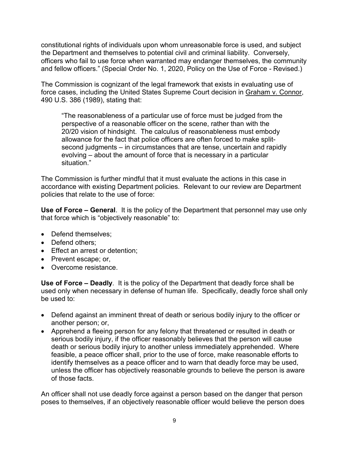constitutional rights of individuals upon whom unreasonable force is used, and subject the Department and themselves to potential civil and criminal liability. Conversely, officers who fail to use force when warranted may endanger themselves, the community and fellow officers." (Special Order No. 1, 2020, Policy on the Use of Force - Revised.)

The Commission is cognizant of the legal framework that exists in evaluating use of force cases, including the United States Supreme Court decision in Graham v. Connor, 490 U.S. 386 (1989), stating that:

"The reasonableness of a particular use of force must be judged from the perspective of a reasonable officer on the scene, rather than with the 20/20 vision of hindsight. The calculus of reasonableness must embody allowance for the fact that police officers are often forced to make splitsecond judgments – in circumstances that are tense, uncertain and rapidly evolving – about the amount of force that is necessary in a particular situation."

The Commission is further mindful that it must evaluate the actions in this case in accordance with existing Department policies. Relevant to our review are Department policies that relate to the use of force:

**Use of Force – General**. It is the policy of the Department that personnel may use only that force which is "objectively reasonable" to:

- Defend themselves;
- Defend others:
- Effect an arrest or detention;
- Prevent escape; or,
- Overcome resistance.

**Use of Force – Deadly**. It is the policy of the Department that deadly force shall be used only when necessary in defense of human life. Specifically, deadly force shall only be used to:

- Defend against an imminent threat of death or serious bodily injury to the officer or another person; or,
- Apprehend a fleeing person for any felony that threatened or resulted in death or serious bodily injury, if the officer reasonably believes that the person will cause death or serious bodily injury to another unless immediately apprehended. Where feasible, a peace officer shall, prior to the use of force, make reasonable efforts to identify themselves as a peace officer and to warn that deadly force may be used, unless the officer has objectively reasonable grounds to believe the person is aware of those facts.

An officer shall not use deadly force against a person based on the danger that person poses to themselves, if an objectively reasonable officer would believe the person does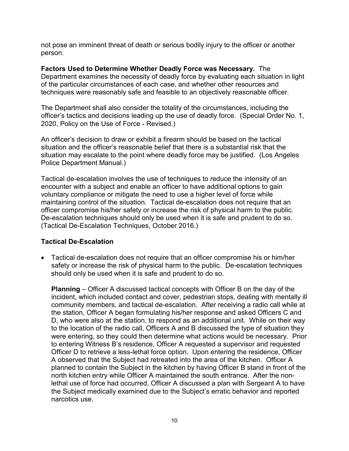not pose an imminent threat of death or serious bodily injury to the officer or another person.

**Factors Used to Determine Whether Deadly Force was Necessary.** The Department examines the necessity of deadly force by evaluating each situation in light of the particular circumstances of each case, and whether other resources and techniques were reasonably safe and feasible to an objectively reasonable officer.

The Department shall also consider the totality of the circumstances, including the officer's tactics and decisions leading up the use of deadly force. (Special Order No. 1, 2020, Policy on the Use of Force - Revised.)

An officer's decision to draw or exhibit a firearm should be based on the tactical situation and the officer's reasonable belief that there is a substantial risk that the situation may escalate to the point where deadly force may be justified. (Los Angeles Police Department Manual.)

Tactical de-escalation involves the use of techniques to reduce the intensity of an encounter with a subject and enable an officer to have additional options to gain voluntary compliance or mitigate the need to use a higher level of force while maintaining control of the situation. Tactical de-escalation does not require that an officer compromise his/her safety or increase the risk of physical harm to the public. De-escalation techniques should only be used when it is safe and prudent to do so. (Tactical De-Escalation Techniques, October 2016.)

### **Tactical De-Escalation**

• Tactical de-escalation does not require that an officer compromise his or him/her safety or increase the risk of physical harm to the public. De-escalation techniques should only be used when it is safe and prudent to do so.

**Planning** – Officer A discussed tactical concepts with Officer B on the day of the incident, which included contact and cover, pedestrian stops, dealing with mentally ill community members, and tactical de-escalation. After receiving a radio call while at the station, Officer A began formulating his/her response and asked Officers C and D, who were also at the station, to respond as an additional unit. While on their way to the location of the radio call, Officers A and B discussed the type of situation they were entering, so they could then determine what actions would be necessary. Prior to entering Witness B's residence, Officer A requested a supervisor and requested Officer D to retrieve a less-lethal force option. Upon entering the residence, Officer A observed that the Subject had retreated into the area of the kitchen. Officer A planned to contain the Subject in the kitchen by having Officer B stand in front of the north kitchen entry while Officer A maintained the south entrance. After the nonlethal use of force had occurred, Officer A discussed a plan with Sergeant A to have the Subject medically examined due to the Subject's erratic behavior and reported narcotics use.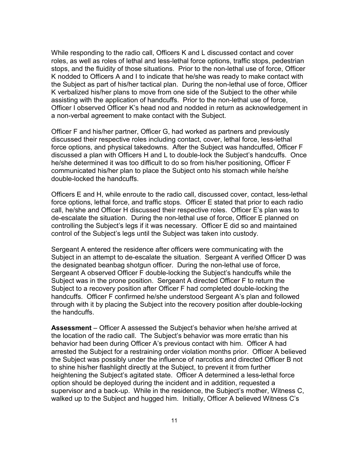While responding to the radio call, Officers K and L discussed contact and cover roles, as well as roles of lethal and less-lethal force options, traffic stops, pedestrian stops, and the fluidity of those situations. Prior to the non-lethal use of force, Officer K nodded to Officers A and I to indicate that he/she was ready to make contact with the Subject as part of his/her tactical plan. During the non-lethal use of force, Officer K verbalized his/her plans to move from one side of the Subject to the other while assisting with the application of handcuffs. Prior to the non-lethal use of force, Officer I observed Officer K's head nod and nodded in return as acknowledgement in a non-verbal agreement to make contact with the Subject.

Officer F and his/her partner, Officer G, had worked as partners and previously discussed their respective roles including contact, cover, lethal force, less-lethal force options, and physical takedowns. After the Subject was handcuffed, Officer F discussed a plan with Officers H and L to double-lock the Subject's handcuffs. Once he/she determined it was too difficult to do so from his/her positioning, Officer F communicated his/her plan to place the Subject onto his stomach while he/she double-locked the handcuffs.

Officers E and H, while enroute to the radio call, discussed cover, contact, less-lethal force options, lethal force, and traffic stops. Officer E stated that prior to each radio call, he/she and Officer H discussed their respective roles. Officer E's plan was to de-escalate the situation. During the non-lethal use of force, Officer E planned on controlling the Subject's legs if it was necessary. Officer E did so and maintained control of the Subject's legs until the Subject was taken into custody.

Sergeant A entered the residence after officers were communicating with the Subject in an attempt to de-escalate the situation. Sergeant A verified Officer D was the designated beanbag shotgun officer. During the non-lethal use of force, Sergeant A observed Officer F double-locking the Subject's handcuffs while the Subject was in the prone position. Sergeant A directed Officer F to return the Subject to a recovery position after Officer F had completed double-locking the handcuffs. Officer F confirmed he/she understood Sergeant A's plan and followed through with it by placing the Subject into the recovery position after double-locking the handcuffs.

**Assessment** – Officer A assessed the Subject's behavior when he/she arrived at the location of the radio call. The Subject's behavior was more erratic than his behavior had been during Officer A's previous contact with him. Officer A had arrested the Subject for a restraining order violation months prior. Officer A believed the Subject was possibly under the influence of narcotics and directed Officer B not to shine his/her flashlight directly at the Subject, to prevent it from further heightening the Subject's agitated state. Officer A determined a less-lethal force option should be deployed during the incident and in addition, requested a supervisor and a back-up. While in the residence, the Subject's mother, Witness C, walked up to the Subject and hugged him. Initially, Officer A believed Witness C's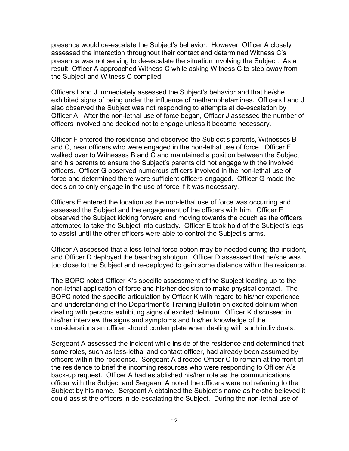presence would de-escalate the Subject's behavior. However, Officer A closely assessed the interaction throughout their contact and determined Witness C's presence was not serving to de-escalate the situation involving the Subject. As a result, Officer A approached Witness C while asking Witness C to step away from the Subject and Witness C complied.

Officers I and J immediately assessed the Subject's behavior and that he/she exhibited signs of being under the influence of methamphetamines. Officers I and J also observed the Subject was not responding to attempts at de-escalation by Officer A. After the non-lethal use of force began, Officer J assessed the number of officers involved and decided not to engage unless it became necessary.

Officer F entered the residence and observed the Subject's parents, Witnesses B and C, near officers who were engaged in the non-lethal use of force. Officer F walked over to Witnesses B and C and maintained a position between the Subject and his parents to ensure the Subject's parents did not engage with the involved officers. Officer G observed numerous officers involved in the non-lethal use of force and determined there were sufficient officers engaged. Officer G made the decision to only engage in the use of force if it was necessary.

Officers E entered the location as the non-lethal use of force was occurring and assessed the Subject and the engagement of the officers with him. Officer E observed the Subject kicking forward and moving towards the couch as the officers attempted to take the Subject into custody. Officer E took hold of the Subject's legs to assist until the other officers were able to control the Subject's arms.

Officer A assessed that a less-lethal force option may be needed during the incident, and Officer D deployed the beanbag shotgun. Officer D assessed that he/she was too close to the Subject and re-deployed to gain some distance within the residence.

The BOPC noted Officer K's specific assessment of the Subject leading up to the non-lethal application of force and his/her decision to make physical contact. The BOPC noted the specific articulation by Officer K with regard to his/her experience and understanding of the Department's Training Bulletin on excited delirium when dealing with persons exhibiting signs of excited delirium. Officer K discussed in his/her interview the signs and symptoms and his/her knowledge of the considerations an officer should contemplate when dealing with such individuals.

Sergeant A assessed the incident while inside of the residence and determined that some roles, such as less-lethal and contact officer, had already been assumed by officers within the residence. Sergeant A directed Officer C to remain at the front of the residence to brief the incoming resources who were responding to Officer A's back-up request. Officer A had established his/her role as the communications officer with the Subject and Sergeant A noted the officers were not referring to the Subject by his name. Sergeant A obtained the Subject's name as he/she believed it could assist the officers in de-escalating the Subject. During the non-lethal use of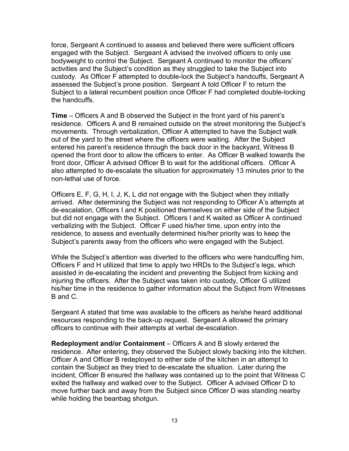force, Sergeant A continued to assess and believed there were sufficient officers engaged with the Subject. Sergeant A advised the involved officers to only use bodyweight to control the Subject. Sergeant A continued to monitor the officers' activities and the Subject's condition as they struggled to take the Subject into custody. As Officer F attempted to double-lock the Subject's handcuffs, Sergeant A assessed the Subject's prone position. Sergeant A told Officer F to return the Subject to a lateral recumbent position once Officer F had completed double-locking the handcuffs.

**Time** – Officers A and B observed the Subject in the front yard of his parent's residence. Officers A and B remained outside on the street monitoring the Subject's movements. Through verbalization, Officer A attempted to have the Subject walk out of the yard to the street where the officers were waiting. After the Subject entered his parent's residence through the back door in the backyard, Witness B opened the front door to allow the officers to enter. As Officer B walked towards the front door, Officer A advised Officer B to wait for the additional officers. Officer A also attempted to de-escalate the situation for approximately 13 minutes prior to the non-lethal use of force.

Officers E, F, G, H, I, J, K, L did not engage with the Subject when they initially arrived. After determining the Subject was not responding to Officer A's attempts at de-escalation, Officers I and K positioned themselves on either side of the Subject but did not engage with the Subject. Officers I and K waited as Officer A continued verbalizing with the Subject. Officer F used his/her time, upon entry into the residence, to assess and eventually determined his/her priority was to keep the Subject's parents away from the officers who were engaged with the Subject.

While the Subject's attention was diverted to the officers who were handcuffing him, Officers F and H utilized that time to apply two HRDs to the Subject's legs, which assisted in de-escalating the incident and preventing the Subject from kicking and injuring the officers. After the Subject was taken into custody, Officer G utilized his/her time in the residence to gather information about the Subject from Witnesses B and C.

Sergeant A stated that time was available to the officers as he/she heard additional resources responding to the back-up request. Sergeant A allowed the primary officers to continue with their attempts at verbal de-escalation.

**Redeployment and/or Containment** – Officers A and B slowly entered the residence. After entering, they observed the Subject slowly backing into the kitchen. Officer A and Officer B redeployed to either side of the kitchen in an attempt to contain the Subject as they tried to de-escalate the situation. Later during the incident, Officer B ensured the hallway was contained up to the point that Witness C exited the hallway and walked over to the Subject. Officer A advised Officer D to move further back and away from the Subject since Officer D was standing nearby while holding the beanbag shotgun.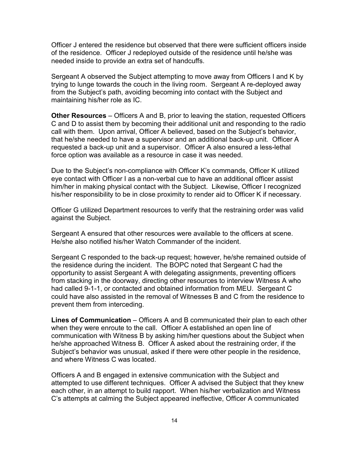Officer J entered the residence but observed that there were sufficient officers inside of the residence. Officer J redeployed outside of the residence until he/she was needed inside to provide an extra set of handcuffs.

Sergeant A observed the Subject attempting to move away from Officers I and K by trying to lunge towards the couch in the living room. Sergeant A re-deployed away from the Subject's path, avoiding becoming into contact with the Subject and maintaining his/her role as IC.

**Other Resources** – Officers A and B, prior to leaving the station, requested Officers C and D to assist them by becoming their additional unit and responding to the radio call with them. Upon arrival, Officer A believed, based on the Subject's behavior, that he/she needed to have a supervisor and an additional back-up unit. Officer A requested a back-up unit and a supervisor. Officer A also ensured a less-lethal force option was available as a resource in case it was needed.

Due to the Subject's non-compliance with Officer K's commands, Officer K utilized eye contact with Officer I as a non-verbal cue to have an additional officer assist him/her in making physical contact with the Subject. Likewise, Officer I recognized his/her responsibility to be in close proximity to render aid to Officer K if necessary.

Officer G utilized Department resources to verify that the restraining order was valid against the Subject.

Sergeant A ensured that other resources were available to the officers at scene. He/she also notified his/her Watch Commander of the incident.

Sergeant C responded to the back-up request; however, he/she remained outside of the residence during the incident. The BOPC noted that Sergeant C had the opportunity to assist Sergeant A with delegating assignments, preventing officers from stacking in the doorway, directing other resources to interview Witness A who had called 9-1-1, or contacted and obtained information from MEU. Sergeant C could have also assisted in the removal of Witnesses B and C from the residence to prevent them from interceding.

**Lines of Communication** – Officers A and B communicated their plan to each other when they were enroute to the call. Officer A established an open line of communication with Witness B by asking him/her questions about the Subject when he/she approached Witness B. Officer A asked about the restraining order, if the Subject's behavior was unusual, asked if there were other people in the residence, and where Witness C was located.

Officers A and B engaged in extensive communication with the Subject and attempted to use different techniques. Officer A advised the Subject that they knew each other, in an attempt to build rapport. When his/her verbalization and Witness C's attempts at calming the Subject appeared ineffective, Officer A communicated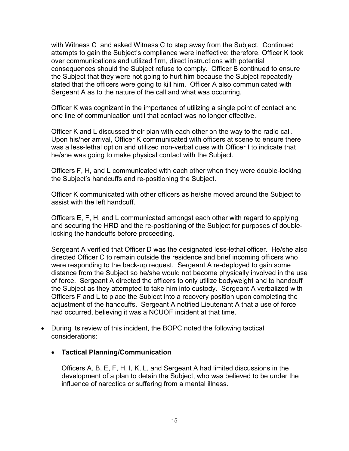with Witness C and asked Witness C to step away from the Subject. Continued attempts to gain the Subject's compliance were ineffective; therefore, Officer K took over communications and utilized firm, direct instructions with potential consequences should the Subject refuse to comply. Officer B continued to ensure the Subject that they were not going to hurt him because the Subject repeatedly stated that the officers were going to kill him. Officer A also communicated with Sergeant A as to the nature of the call and what was occurring.

Officer K was cognizant in the importance of utilizing a single point of contact and one line of communication until that contact was no longer effective.

Officer K and L discussed their plan with each other on the way to the radio call. Upon his/her arrival, Officer K communicated with officers at scene to ensure there was a less-lethal option and utilized non-verbal cues with Officer I to indicate that he/she was going to make physical contact with the Subject.

Officers F, H, and L communicated with each other when they were double-locking the Subject's handcuffs and re-positioning the Subject.

Officer K communicated with other officers as he/she moved around the Subject to assist with the left handcuff.

Officers E, F, H, and L communicated amongst each other with regard to applying and securing the HRD and the re-positioning of the Subject for purposes of doublelocking the handcuffs before proceeding.

Sergeant A verified that Officer D was the designated less-lethal officer. He/she also directed Officer C to remain outside the residence and brief incoming officers who were responding to the back-up request. Sergeant A re-deployed to gain some distance from the Subject so he/she would not become physically involved in the use of force. Sergeant A directed the officers to only utilize bodyweight and to handcuff the Subject as they attempted to take him into custody. Sergeant A verbalized with Officers F and L to place the Subject into a recovery position upon completing the adjustment of the handcuffs. Sergeant A notified Lieutenant A that a use of force had occurred, believing it was a NCUOF incident at that time.

• During its review of this incident, the BOPC noted the following tactical considerations:

### • **Tactical Planning/Communication**

Officers A, B, E, F, H, I, K, L, and Sergeant A had limited discussions in the development of a plan to detain the Subject, who was believed to be under the influence of narcotics or suffering from a mental illness.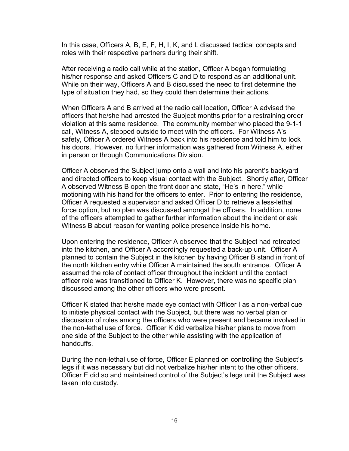In this case, Officers A, B, E, F, H, I, K, and L discussed tactical concepts and roles with their respective partners during their shift.

After receiving a radio call while at the station, Officer A began formulating his/her response and asked Officers C and D to respond as an additional unit. While on their way, Officers A and B discussed the need to first determine the type of situation they had, so they could then determine their actions.

When Officers A and B arrived at the radio call location, Officer A advised the officers that he/she had arrested the Subject months prior for a restraining order violation at this same residence. The community member who placed the 9-1-1 call, Witness A, stepped outside to meet with the officers. For Witness A's safety, Officer A ordered Witness A back into his residence and told him to lock his doors. However, no further information was gathered from Witness A, either in person or through Communications Division.

Officer A observed the Subject jump onto a wall and into his parent's backyard and directed officers to keep visual contact with the Subject. Shortly after, Officer A observed Witness B open the front door and state, "He's in here," while motioning with his hand for the officers to enter. Prior to entering the residence, Officer A requested a supervisor and asked Officer D to retrieve a less-lethal force option, but no plan was discussed amongst the officers. In addition, none of the officers attempted to gather further information about the incident or ask Witness B about reason for wanting police presence inside his home.

Upon entering the residence, Officer A observed that the Subject had retreated into the kitchen, and Officer A accordingly requested a back-up unit. Officer A planned to contain the Subject in the kitchen by having Officer B stand in front of the north kitchen entry while Officer A maintained the south entrance. Officer A assumed the role of contact officer throughout the incident until the contact officer role was transitioned to Officer K. However, there was no specific plan discussed among the other officers who were present.

Officer K stated that he/she made eye contact with Officer I as a non-verbal cue to initiate physical contact with the Subject, but there was no verbal plan or discussion of roles among the officers who were present and became involved in the non-lethal use of force. Officer K did verbalize his/her plans to move from one side of the Subject to the other while assisting with the application of handcuffs.

During the non-lethal use of force, Officer E planned on controlling the Subject's legs if it was necessary but did not verbalize his/her intent to the other officers. Officer E did so and maintained control of the Subject's legs unit the Subject was taken into custody.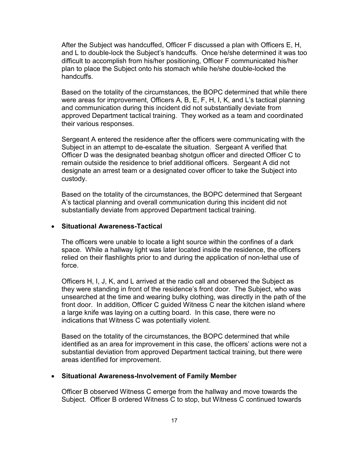After the Subject was handcuffed, Officer F discussed a plan with Officers E, H, and L to double-lock the Subject's handcuffs. Once he/she determined it was too difficult to accomplish from his/her positioning, Officer F communicated his/her plan to place the Subject onto his stomach while he/she double-locked the handcuffs.

Based on the totality of the circumstances, the BOPC determined that while there were areas for improvement, Officers A, B, E, F, H, I, K, and L's tactical planning and communication during this incident did not substantially deviate from approved Department tactical training. They worked as a team and coordinated their various responses.

Sergeant A entered the residence after the officers were communicating with the Subject in an attempt to de-escalate the situation. Sergeant A verified that Officer D was the designated beanbag shotgun officer and directed Officer C to remain outside the residence to brief additional officers. Sergeant A did not designate an arrest team or a designated cover officer to take the Subject into custody.

Based on the totality of the circumstances, the BOPC determined that Sergeant A's tactical planning and overall communication during this incident did not substantially deviate from approved Department tactical training.

### • **Situational Awareness-Tactical**

The officers were unable to locate a light source within the confines of a dark space. While a hallway light was later located inside the residence, the officers relied on their flashlights prior to and during the application of non-lethal use of force.

Officers H, I, J, K, and L arrived at the radio call and observed the Subject as they were standing in front of the residence's front door. The Subject, who was unsearched at the time and wearing bulky clothing, was directly in the path of the front door. In addition, Officer C guided Witness C near the kitchen island where a large knife was laying on a cutting board. In this case, there were no indications that Witness C was potentially violent.

Based on the totality of the circumstances, the BOPC determined that while identified as an area for improvement in this case, the officers' actions were not a substantial deviation from approved Department tactical training, but there were areas identified for improvement.

### • **Situational Awareness-Involvement of Family Member**

Officer B observed Witness C emerge from the hallway and move towards the Subject. Officer B ordered Witness C to stop, but Witness C continued towards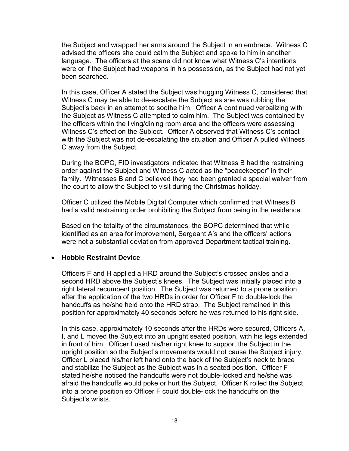the Subject and wrapped her arms around the Subject in an embrace. Witness C advised the officers she could calm the Subject and spoke to him in another language. The officers at the scene did not know what Witness C's intentions were or if the Subject had weapons in his possession, as the Subject had not yet been searched.

In this case, Officer A stated the Subject was hugging Witness C, considered that Witness C may be able to de-escalate the Subject as she was rubbing the Subject's back in an attempt to soothe him. Officer A continued verbalizing with the Subject as Witness C attempted to calm him. The Subject was contained by the officers within the living/dining room area and the officers were assessing Witness C's effect on the Subject. Officer A observed that Witness C's contact with the Subject was not de-escalating the situation and Officer A pulled Witness C away from the Subject.

During the BOPC, FID investigators indicated that Witness B had the restraining order against the Subject and Witness C acted as the "peacekeeper" in their family. Witnesses B and C believed they had been granted a special waiver from the court to allow the Subject to visit during the Christmas holiday.

Officer C utilized the Mobile Digital Computer which confirmed that Witness B had a valid restraining order prohibiting the Subject from being in the residence.

Based on the totality of the circumstances, the BOPC determined that while identified as an area for improvement, Sergeant A's and the officers' actions were not a substantial deviation from approved Department tactical training.

### • **Hobble Restraint Device**

Officers F and H applied a HRD around the Subject's crossed ankles and a second HRD above the Subject's knees. The Subject was initially placed into a right lateral recumbent position. The Subject was returned to a prone position after the application of the two HRDs in order for Officer F to double-lock the handcuffs as he/she held onto the HRD strap. The Subject remained in this position for approximately 40 seconds before he was returned to his right side.

In this case, approximately 10 seconds after the HRDs were secured, Officers A, I, and L moved the Subject into an upright seated position, with his legs extended in front of him. Officer I used his/her right knee to support the Subject in the upright position so the Subject's movements would not cause the Subject injury. Officer L placed his/her left hand onto the back of the Subject's neck to brace and stabilize the Subject as the Subject was in a seated position. Officer F stated he/she noticed the handcuffs were not double-locked and he/she was afraid the handcuffs would poke or hurt the Subject. Officer K rolled the Subject into a prone position so Officer F could double-lock the handcuffs on the Subject's wrists.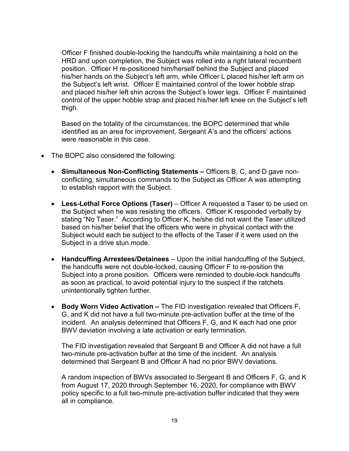Officer F finished double-locking the handcuffs while maintaining a hold on the HRD and upon completion, the Subject was rolled into a right lateral recumbent position. Officer H re-positioned him/herself behind the Subject and placed his/her hands on the Subject's left arm, while Officer L placed his/her left arm on the Subject's left wrist. Officer E maintained control of the lower hobble strap and placed his/her left shin across the Subject's lower legs. Officer F maintained control of the upper hobble strap and placed his/her left knee on the Subject's left thigh.

Based on the totality of the circumstances, the BOPC determined that while identified as an area for improvement, Sergeant A's and the officers' actions were reasonable in this case.

- The BOPC also considered the following:
	- **Simultaneous Non-Conflicting Statements –** Officers B, C, and D gave nonconflicting, simultaneous commands to the Subject as Officer A was attempting to establish rapport with the Subject.
	- **Less-Lethal Force Options (Taser)**  Officer A requested a Taser to be used on the Subject when he was resisting the officers. Officer K responded verbally by stating "No Taser." According to Officer K, he/she did not want the Taser utilized based on his/her belief that the officers who were in physical contact with the Subject would each be subject to the effects of the Taser if it were used on the Subject in a drive stun mode.
	- **Handcuffing Arrestees/Detainees**  Upon the initial handcuffing of the Subject, the handcuffs were not double-locked, causing Officer F to re-position the Subject into a prone position. Officers were reminded to double-lock handcuffs as soon as practical, to avoid potential injury to the suspect if the ratchets unintentionally tighten further.
	- **Body Worn Video Activation –** The FID investigation revealed that Officers F, G, and K did not have a full two-minute pre-activation buffer at the time of the incident. An analysis determined that Officers F, G, and K each had one prior BWV deviation involving a late activation or early termination.

The FID investigation revealed that Sergeant B and Officer A did not have a full two-minute pre-activation buffer at the time of the incident. An analysis determined that Sergeant B and Officer A had no prior BWV deviations.

A random inspection of BWVs associated to Sergeant B and Officers F, G, and K from August 17, 2020 through September 16, 2020, for compliance with BWV policy specific to a full two-minute pre-activation buffer indicated that they were all in compliance.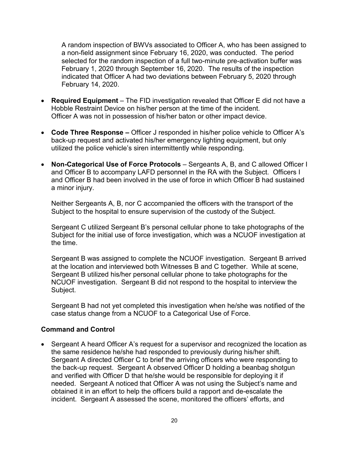A random inspection of BWVs associated to Officer A, who has been assigned to a non-field assignment since February 16, 2020, was conducted. The period selected for the random inspection of a full two-minute pre-activation buffer was February 1, 2020 through September 16, 2020. The results of the inspection indicated that Officer A had two deviations between February 5, 2020 through February 14, 2020.

- **Required Equipment**  The FID investigation revealed that Officer E did not have a Hobble Restraint Device on his/her person at the time of the incident. Officer A was not in possession of his/her baton or other impact device.
- **Code Three Response –** Officer J responded in his/her police vehicle to Officer A's back-up request and activated his/her emergency lighting equipment, but only utilized the police vehicle's siren intermittently while responding.
- **Non-Categorical Use of Force Protocols** Sergeants A, B, and C allowed Officer I and Officer B to accompany LAFD personnel in the RA with the Subject. Officers I and Officer B had been involved in the use of force in which Officer B had sustained a minor injury.

Neither Sergeants A, B, nor C accompanied the officers with the transport of the Subject to the hospital to ensure supervision of the custody of the Subject.

Sergeant C utilized Sergeant B's personal cellular phone to take photographs of the Subject for the initial use of force investigation, which was a NCUOF investigation at the time.

Sergeant B was assigned to complete the NCUOF investigation. Sergeant B arrived at the location and interviewed both Witnesses B and C together. While at scene, Sergeant B utilized his/her personal cellular phone to take photographs for the NCUOF investigation. Sergeant B did not respond to the hospital to interview the Subject.

Sergeant B had not yet completed this investigation when he/she was notified of the case status change from a NCUOF to a Categorical Use of Force.

### **Command and Control**

• Sergeant A heard Officer A's request for a supervisor and recognized the location as the same residence he/she had responded to previously during his/her shift. Sergeant A directed Officer C to brief the arriving officers who were responding to the back-up request. Sergeant A observed Officer D holding a beanbag shotgun and verified with Officer D that he/she would be responsible for deploying it if needed. Sergeant A noticed that Officer A was not using the Subject's name and obtained it in an effort to help the officers build a rapport and de-escalate the incident. Sergeant A assessed the scene, monitored the officers' efforts, and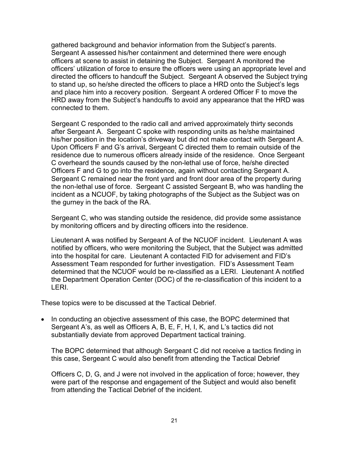gathered background and behavior information from the Subject's parents. Sergeant A assessed his/her containment and determined there were enough officers at scene to assist in detaining the Subject. Sergeant A monitored the officers' utilization of force to ensure the officers were using an appropriate level and directed the officers to handcuff the Subject. Sergeant A observed the Subject trying to stand up, so he/she directed the officers to place a HRD onto the Subject's legs and place him into a recovery position. Sergeant A ordered Officer F to move the HRD away from the Subject's handcuffs to avoid any appearance that the HRD was connected to them.

Sergeant C responded to the radio call and arrived approximately thirty seconds after Sergeant A. Sergeant C spoke with responding units as he/she maintained his/her position in the location's driveway but did not make contact with Sergeant A. Upon Officers F and G's arrival, Sergeant C directed them to remain outside of the residence due to numerous officers already inside of the residence. Once Sergeant C overheard the sounds caused by the non-lethal use of force, he/she directed Officers F and G to go into the residence, again without contacting Sergeant A. Sergeant C remained near the front yard and front door area of the property during the non-lethal use of force. Sergeant C assisted Sergeant B, who was handling the incident as a NCUOF, by taking photographs of the Subject as the Subject was on the gurney in the back of the RA.

Sergeant C, who was standing outside the residence, did provide some assistance by monitoring officers and by directing officers into the residence.

Lieutenant A was notified by Sergeant A of the NCUOF incident. Lieutenant A was notified by officers, who were monitoring the Subject, that the Subject was admitted into the hospital for care. Lieutenant A contacted FID for advisement and FID's Assessment Team responded for further investigation. FID's Assessment Team determined that the NCUOF would be re-classified as a LERI. Lieutenant A notified the Department Operation Center (DOC) of the re-classification of this incident to a LERI.

These topics were to be discussed at the Tactical Debrief.

• In conducting an objective assessment of this case, the BOPC determined that Sergeant A's, as well as Officers A, B, E, F, H, I, K, and L's tactics did not substantially deviate from approved Department tactical training.

The BOPC determined that although Sergeant C did not receive a tactics finding in this case, Sergeant C would also benefit from attending the Tactical Debrief

Officers C, D, G, and J were not involved in the application of force; however, they were part of the response and engagement of the Subject and would also benefit from attending the Tactical Debrief of the incident.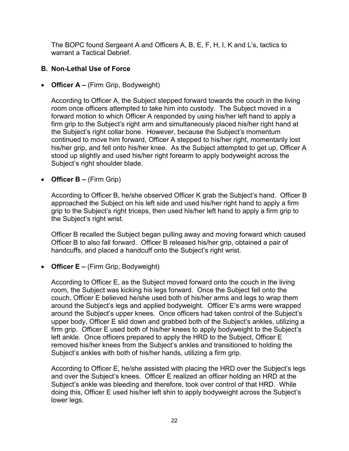The BOPC found Sergeant A and Officers A, B, E, F, H, I, K and L's, tactics to warrant a Tactical Debrief

## **B. Non-Lethal Use of Force**

• **Officer A –** (Firm Grip, Bodyweight)

According to Officer A, the Subject stepped forward towards the couch in the living room once officers attempted to take him into custody. The Subject moved in a forward motion to which Officer A responded by using his/her left hand to apply a firm grip to the Subject's right arm and simultaneously placed his/her right hand at the Subject's right collar bone. However, because the Subject's momentum continued to move him forward, Officer A stepped to his/her right, momentarily lost his/her grip, and fell onto his/her knee. As the Subject attempted to get up, Officer A stood up slightly and used his/her right forearm to apply bodyweight across the Subject's right shoulder blade.

### • **Officer B –** (Firm Grip)

According to Officer B, he/she observed Officer K grab the Subject's hand. Officer B approached the Subject on his left side and used his/her right hand to apply a firm grip to the Subject's right triceps, then used his/her left hand to apply a firm grip to the Subject's right wrist.

Officer B recalled the Subject began pulling away and moving forward which caused Officer B to also fall forward. Officer B released his/her grip, obtained a pair of handcuffs, and placed a handcuff onto the Subject's right wrist.

## • **Officer E –** (Firm Grip, Bodyweight)

According to Officer E, as the Subject moved forward onto the couch in the living room, the Subject was kicking his legs forward. Once the Subject fell onto the couch, Officer E believed he/she used both of his/her arms and legs to wrap them around the Subject's legs and applied bodyweight. Officer E's arms were wrapped around the Subject's upper knees. Once officers had taken control of the Subject's upper body, Officer E slid down and grabbed both of the Subject's ankles, utilizing a firm grip. Officer E used both of his/her knees to apply bodyweight to the Subject's left ankle. Once officers prepared to apply the HRD to the Subject, Officer E removed his/her knees from the Subject's ankles and transitioned to holding the Subject's ankles with both of his/her hands, utilizing a firm grip.

According to Officer E, he/she assisted with placing the HRD over the Subject's legs and over the Subject's knees. Officer E realized an officer holding an HRD at the Subject's ankle was bleeding and therefore, took over control of that HRD. While doing this, Officer E used his/her left shin to apply bodyweight across the Subject's lower legs.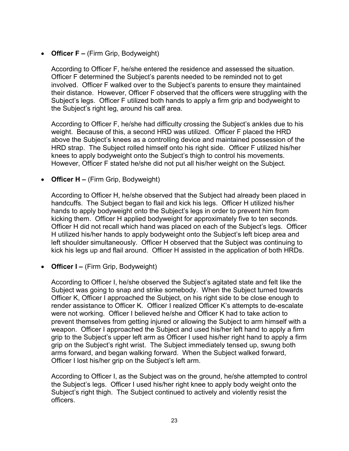• **Officer F –** (Firm Grip, Bodyweight)

According to Officer F, he/she entered the residence and assessed the situation. Officer F determined the Subject's parents needed to be reminded not to get involved. Officer F walked over to the Subject's parents to ensure they maintained their distance. However, Officer F observed that the officers were struggling with the Subject's legs. Officer F utilized both hands to apply a firm grip and bodyweight to the Subject's right leg, around his calf area.

According to Officer F, he/she had difficulty crossing the Subject's ankles due to his weight. Because of this, a second HRD was utilized. Officer F placed the HRD above the Subject's knees as a controlling device and maintained possession of the HRD strap. The Subject rolled himself onto his right side. Officer F utilized his/her knees to apply bodyweight onto the Subject's thigh to control his movements. However, Officer F stated he/she did not put all his/her weight on the Subject.

• **Officer H –** (Firm Grip, Bodyweight)

According to Officer H, he/she observed that the Subject had already been placed in handcuffs. The Subject began to flail and kick his legs. Officer H utilized his/her hands to apply bodyweight onto the Subject's legs in order to prevent him from kicking them. Officer H applied bodyweight for approximately five to ten seconds. Officer H did not recall which hand was placed on each of the Subject's legs. Officer H utilized his/her hands to apply bodyweight onto the Subject's left bicep area and left shoulder simultaneously. Officer H observed that the Subject was continuing to kick his legs up and flail around. Officer H assisted in the application of both HRDs.

• **Officer I –** (Firm Grip, Bodyweight)

According to Officer I, he/she observed the Subject's agitated state and felt like the Subject was going to snap and strike somebody. When the Subject turned towards Officer K, Officer I approached the Subject, on his right side to be close enough to render assistance to Officer K. Officer I realized Officer K's attempts to de-escalate were not working. Officer I believed he/she and Officer K had to take action to prevent themselves from getting injured or allowing the Subject to arm himself with a weapon. Officer I approached the Subject and used his/her left hand to apply a firm grip to the Subject's upper left arm as Officer I used his/her right hand to apply a firm grip on the Subject's right wrist. The Subject immediately tensed up, swung both arms forward, and began walking forward. When the Subject walked forward, Officer I lost his/her grip on the Subject's left arm.

According to Officer I, as the Subject was on the ground, he/she attempted to control the Subject's legs. Officer I used his/her right knee to apply body weight onto the Subject's right thigh. The Subject continued to actively and violently resist the officers.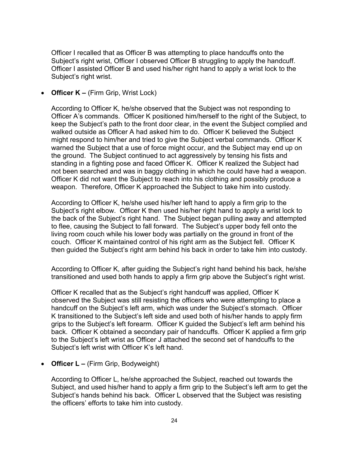Officer I recalled that as Officer B was attempting to place handcuffs onto the Subject's right wrist, Officer I observed Officer B struggling to apply the handcuff. Officer I assisted Officer B and used his/her right hand to apply a wrist lock to the Subject's right wrist.

• **Officer K –** (Firm Grip, Wrist Lock)

According to Officer K, he/she observed that the Subject was not responding to Officer A's commands. Officer K positioned him/herself to the right of the Subject, to keep the Subject's path to the front door clear, in the event the Subject complied and walked outside as Officer A had asked him to do. Officer K believed the Subject might respond to him/her and tried to give the Subject verbal commands. Officer K warned the Subject that a use of force might occur, and the Subject may end up on the ground. The Subject continued to act aggressively by tensing his fists and standing in a fighting pose and faced Officer K. Officer K realized the Subject had not been searched and was in baggy clothing in which he could have had a weapon. Officer K did not want the Subject to reach into his clothing and possibly produce a weapon. Therefore, Officer K approached the Subject to take him into custody.

According to Officer K, he/she used his/her left hand to apply a firm grip to the Subject's right elbow. Officer K then used his/her right hand to apply a wrist lock to the back of the Subject's right hand. The Subject began pulling away and attempted to flee, causing the Subject to fall forward. The Subject's upper body fell onto the living room couch while his lower body was partially on the ground in front of the couch. Officer K maintained control of his right arm as the Subject fell. Officer K then guided the Subject's right arm behind his back in order to take him into custody.

According to Officer K, after guiding the Subject's right hand behind his back, he/she transitioned and used both hands to apply a firm grip above the Subject's right wrist.

Officer K recalled that as the Subject's right handcuff was applied, Officer K observed the Subject was still resisting the officers who were attempting to place a handcuff on the Subject's left arm, which was under the Subject's stomach. Officer K transitioned to the Subject's left side and used both of his/her hands to apply firm grips to the Subject's left forearm. Officer K guided the Subject's left arm behind his back. Officer K obtained a secondary pair of handcuffs. Officer K applied a firm grip to the Subject's left wrist as Officer J attached the second set of handcuffs to the Subject's left wrist with Officer K's left hand.

• **Officer L –** (Firm Grip, Bodyweight)

According to Officer L, he/she approached the Subject, reached out towards the Subject, and used his/her hand to apply a firm grip to the Subject's left arm to get the Subject's hands behind his back. Officer L observed that the Subject was resisting the officers' efforts to take him into custody.